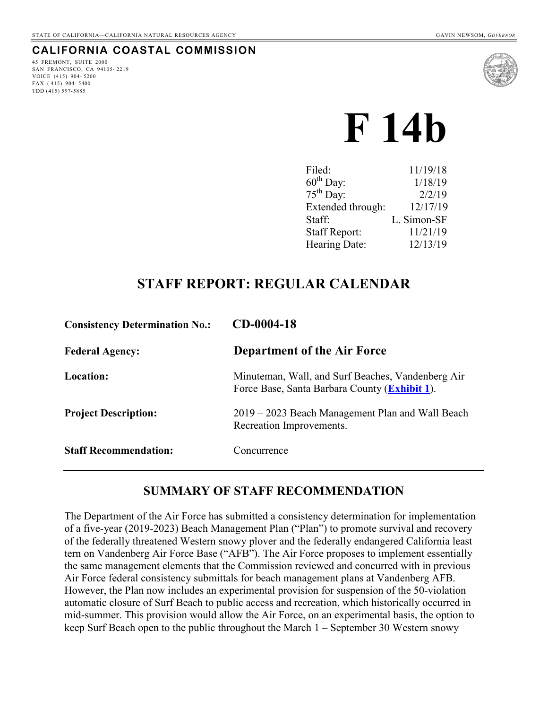## **CALIFORNIA COASTAL COMMISSION**

45 FREMONT, SUITE 2000 SAN FRANCISCO, CA 94105- 2219 VOICE (415) 904- 5200 FAX  $(415)$  904-5400 TDD (415) 597-5885



# **F 14b**

# **STAFF REPORT: REGULAR CALENDAR**

| <b>Consistency Determination No.:</b> | $CD-0004-18$                                                                                       |
|---------------------------------------|----------------------------------------------------------------------------------------------------|
| <b>Federal Agency:</b>                | <b>Department of the Air Force</b>                                                                 |
| <b>Location:</b>                      | Minuteman, Wall, and Surf Beaches, Vandenberg Air<br>Force Base, Santa Barbara County (Exhibit 1). |
| <b>Project Description:</b>           | 2019 – 2023 Beach Management Plan and Wall Beach<br>Recreation Improvements.                       |
| <b>Staff Recommendation:</b>          | Concurrence                                                                                        |

## **SUMMARY OF STAFF RECOMMENDATION**

The Department of the Air Force has submitted a consistency determination for implementation of a five-year (2019-2023) Beach Management Plan ("Plan") to promote survival and recovery of the federally threatened Western snowy plover and the federally endangered California least tern on Vandenberg Air Force Base ("AFB"). The Air Force proposes to implement essentially the same management elements that the Commission reviewed and concurred with in previous Air Force federal consistency submittals for beach management plans at Vandenberg AFB. However, the Plan now includes an experimental provision for suspension of the 50-violation automatic closure of Surf Beach to public access and recreation, which historically occurred in mid-summer. This provision would allow the Air Force, on an experimental basis, the option to keep Surf Beach open to the public throughout the March 1 – September 30 Western snowy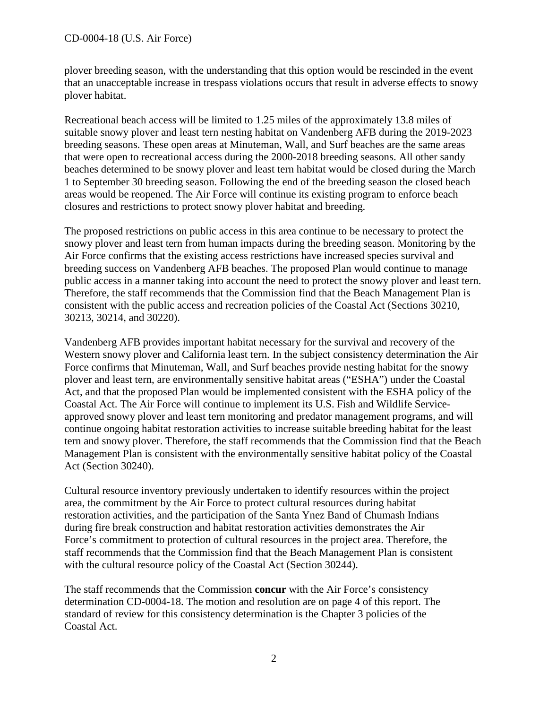plover breeding season, with the understanding that this option would be rescinded in the event that an unacceptable increase in trespass violations occurs that result in adverse effects to snowy plover habitat.

Recreational beach access will be limited to 1.25 miles of the approximately 13.8 miles of suitable snowy plover and least tern nesting habitat on Vandenberg AFB during the 2019-2023 breeding seasons. These open areas at Minuteman, Wall, and Surf beaches are the same areas that were open to recreational access during the 2000-2018 breeding seasons. All other sandy beaches determined to be snowy plover and least tern habitat would be closed during the March 1 to September 30 breeding season. Following the end of the breeding season the closed beach areas would be reopened. The Air Force will continue its existing program to enforce beach closures and restrictions to protect snowy plover habitat and breeding.

The proposed restrictions on public access in this area continue to be necessary to protect the snowy plover and least tern from human impacts during the breeding season. Monitoring by the Air Force confirms that the existing access restrictions have increased species survival and breeding success on Vandenberg AFB beaches. The proposed Plan would continue to manage public access in a manner taking into account the need to protect the snowy plover and least tern. Therefore, the staff recommends that the Commission find that the Beach Management Plan is consistent with the public access and recreation policies of the Coastal Act (Sections 30210, 30213, 30214, and 30220).

Vandenberg AFB provides important habitat necessary for the survival and recovery of the Western snowy plover and California least tern. In the subject consistency determination the Air Force confirms that Minuteman, Wall, and Surf beaches provide nesting habitat for the snowy plover and least tern, are environmentally sensitive habitat areas ("ESHA") under the Coastal Act, and that the proposed Plan would be implemented consistent with the ESHA policy of the Coastal Act. The Air Force will continue to implement its U.S. Fish and Wildlife Serviceapproved snowy plover and least tern monitoring and predator management programs, and will continue ongoing habitat restoration activities to increase suitable breeding habitat for the least tern and snowy plover. Therefore, the staff recommends that the Commission find that the Beach Management Plan is consistent with the environmentally sensitive habitat policy of the Coastal Act (Section 30240).

Cultural resource inventory previously undertaken to identify resources within the project area, the commitment by the Air Force to protect cultural resources during habitat restoration activities, and the participation of the Santa Ynez Band of Chumash Indians during fire break construction and habitat restoration activities demonstrates the Air Force's commitment to protection of cultural resources in the project area. Therefore, the staff recommends that the Commission find that the Beach Management Plan is consistent with the cultural resource policy of the Coastal Act (Section 30244).

The staff recommends that the Commission **concur** with the Air Force's consistency determination CD-0004-18. The motion and resolution are on page 4 of this report. The standard of review for this consistency determination is the Chapter 3 policies of the Coastal Act.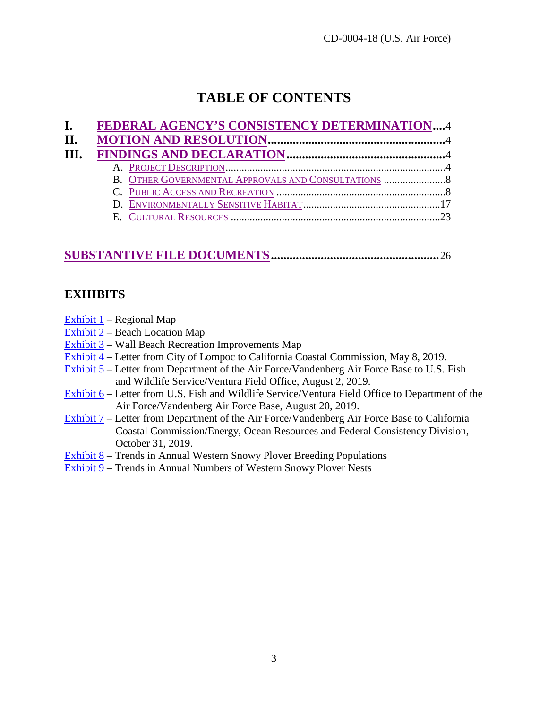# **TABLE OF CONTENTS**

| $\mathbf{I}$ . | FEDERAL AGENCY'S CONSISTENCY DETERMINATION4         |  |
|----------------|-----------------------------------------------------|--|
| H.             |                                                     |  |
| III.           |                                                     |  |
|                |                                                     |  |
|                | B. OTHER GOVERNMENTAL APPROVALS AND CONSULTATIONS 8 |  |
|                |                                                     |  |
|                |                                                     |  |
|                |                                                     |  |

# **[SUBSTANTIVE FILE DOCUMENTS.](#page-25-0).....................................................**26

## **EXHIBITS**

- [Exhibit 1](https://documents.coastal.ca.gov/reports/2019/12/F14b/F14b-12-2019-exhibits.pdf)  Regional Map
- [Exhibit 2](https://documents.coastal.ca.gov/reports/2019/12/F14b/F14b-12-2019-exhibits.pdf)  Beach Location Map
- [Exhibit 3](https://documents.coastal.ca.gov/reports/2019/12/F14b/F14b-12-2019-exhibits.pdf)  Wall Beach Recreation Improvements Map
- [Exhibit 4](https://documents.coastal.ca.gov/reports/2019/12/F14b/F14b-12-2019-exhibits.pdf)  Letter from City of Lompoc to California Coastal Commission, May 8, 2019.
- [Exhibit 5](https://documents.coastal.ca.gov/reports/2019/12/F14b/F14b-12-2019-exhibits.pdf)  Letter from Department of the Air Force/Vandenberg Air Force Base to U.S. Fish and Wildlife Service/Ventura Field Office, August 2, 2019.
- [Exhibit 6](https://documents.coastal.ca.gov/reports/2019/12/F14b/F14b-12-2019-exhibits.pdf)  Letter from U.S. Fish and Wildlife Service/Ventura Field Office to Department of the Air Force/Vandenberg Air Force Base, August 20, 2019.
- [Exhibit 7](https://documents.coastal.ca.gov/reports/2019/12/F14b/F14b-12-2019-exhibits.pdf)  Letter from Department of the Air Force/Vandenberg Air Force Base to California Coastal Commission/Energy, Ocean Resources and Federal Consistency Division, October 31, 2019.
- [Exhibit 8](https://documents.coastal.ca.gov/reports/2019/12/F14b/F14b-12-2019-exhibits.pdf)  Trends in Annual Western Snowy Plover Breeding Populations
- [Exhibit 9](https://documents.coastal.ca.gov/reports/2019/12/F14b/F14b-12-2019-exhibits.pdf)  Trends in Annual Numbers of Western Snowy Plover Nests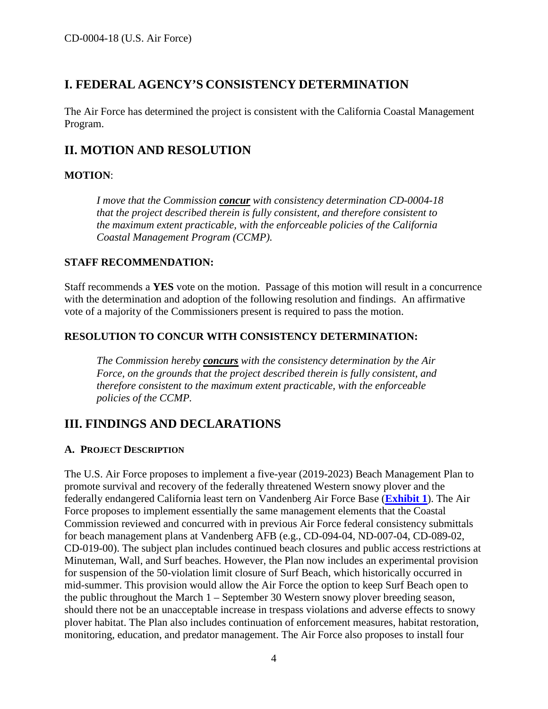## <span id="page-3-0"></span>**I. FEDERAL AGENCY'S CONSISTENCY DETERMINATION**

The Air Force has determined the project is consistent with the California Coastal Management Program.

## <span id="page-3-1"></span>**II. MOTION AND RESOLUTION**

## **MOTION**:

*I move that the Commission concur with consistency determination CD-0004-18 that the project described therein is fully consistent, and therefore consistent to the maximum extent practicable, with the enforceable policies of the California Coastal Management Program (CCMP).* 

## **STAFF RECOMMENDATION:**

Staff recommends a **YES** vote on the motion. Passage of this motion will result in a concurrence with the determination and adoption of the following resolution and findings. An affirmative vote of a majority of the Commissioners present is required to pass the motion.

## **RESOLUTION TO CONCUR WITH CONSISTENCY DETERMINATION:**

*The Commission hereby concurs with the consistency determination by the Air Force, on the grounds that the project described therein is fully consistent, and therefore consistent to the maximum extent practicable, with the enforceable policies of the CCMP.* 

## <span id="page-3-2"></span>**III. FINDINGS AND DECLARATIONS**

## <span id="page-3-3"></span>**A. PROJECT DESCRIPTION**

The U.S. Air Force proposes to implement a five-year (2019-2023) Beach Management Plan to promote survival and recovery of the federally threatened Western snowy plover and the federally endangered California least tern on Vandenberg Air Force Base (**[Exhibit 1](https://documents.coastal.ca.gov/reports/2019/12/F14b/F14b-12-2019-exhibits.pdf)**). The Air Force proposes to implement essentially the same management elements that the Coastal Commission reviewed and concurred with in previous Air Force federal consistency submittals for beach management plans at Vandenberg AFB (e.g., CD-094-04, ND-007-04, CD-089-02, CD-019-00). The subject plan includes continued beach closures and public access restrictions at Minuteman, Wall, and Surf beaches. However, the Plan now includes an experimental provision for suspension of the 50-violation limit closure of Surf Beach, which historically occurred in mid-summer. This provision would allow the Air Force the option to keep Surf Beach open to the public throughout the March 1 – September 30 Western snowy plover breeding season, should there not be an unacceptable increase in trespass violations and adverse effects to snowy plover habitat. The Plan also includes continuation of enforcement measures, habitat restoration, monitoring, education, and predator management. The Air Force also proposes to install four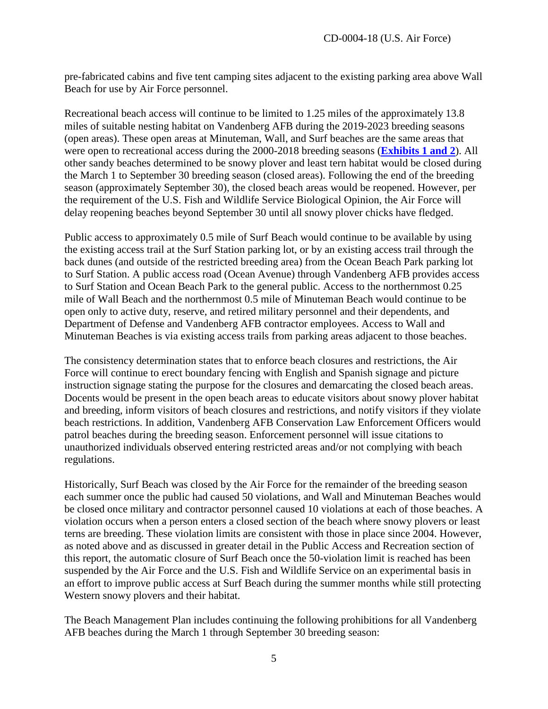pre-fabricated cabins and five tent camping sites adjacent to the existing parking area above Wall Beach for use by Air Force personnel.

Recreational beach access will continue to be limited to 1.25 miles of the approximately 13.8 miles of suitable nesting habitat on Vandenberg AFB during the 2019-2023 breeding seasons (open areas). These open areas at Minuteman, Wall, and Surf beaches are the same areas that were open to recreational access during the 2000-2018 breeding seasons (**[Exhibits 1 and 2](https://documents.coastal.ca.gov/reports/2019/12/F14b/F14b-12-2019-exhibits.pdf)**). All other sandy beaches determined to be snowy plover and least tern habitat would be closed during the March 1 to September 30 breeding season (closed areas). Following the end of the breeding season (approximately September 30), the closed beach areas would be reopened. However, per the requirement of the U.S. Fish and Wildlife Service Biological Opinion, the Air Force will delay reopening beaches beyond September 30 until all snowy plover chicks have fledged.

Public access to approximately 0.5 mile of Surf Beach would continue to be available by using the existing access trail at the Surf Station parking lot, or by an existing access trail through the back dunes (and outside of the restricted breeding area) from the Ocean Beach Park parking lot to Surf Station. A public access road (Ocean Avenue) through Vandenberg AFB provides access to Surf Station and Ocean Beach Park to the general public. Access to the northernmost 0.25 mile of Wall Beach and the northernmost 0.5 mile of Minuteman Beach would continue to be open only to active duty, reserve, and retired military personnel and their dependents, and Department of Defense and Vandenberg AFB contractor employees. Access to Wall and Minuteman Beaches is via existing access trails from parking areas adjacent to those beaches.

The consistency determination states that to enforce beach closures and restrictions, the Air Force will continue to erect boundary fencing with English and Spanish signage and picture instruction signage stating the purpose for the closures and demarcating the closed beach areas. Docents would be present in the open beach areas to educate visitors about snowy plover habitat and breeding, inform visitors of beach closures and restrictions, and notify visitors if they violate beach restrictions. In addition, Vandenberg AFB Conservation Law Enforcement Officers would patrol beaches during the breeding season. Enforcement personnel will issue citations to unauthorized individuals observed entering restricted areas and/or not complying with beach regulations.

Historically, Surf Beach was closed by the Air Force for the remainder of the breeding season each summer once the public had caused 50 violations, and Wall and Minuteman Beaches would be closed once military and contractor personnel caused 10 violations at each of those beaches. A violation occurs when a person enters a closed section of the beach where snowy plovers or least terns are breeding. These violation limits are consistent with those in place since 2004. However, as noted above and as discussed in greater detail in the Public Access and Recreation section of this report, the automatic closure of Surf Beach once the 50-violation limit is reached has been suspended by the Air Force and the U.S. Fish and Wildlife Service on an experimental basis in an effort to improve public access at Surf Beach during the summer months while still protecting Western snowy plovers and their habitat.

The Beach Management Plan includes continuing the following prohibitions for all Vandenberg AFB beaches during the March 1 through September 30 breeding season: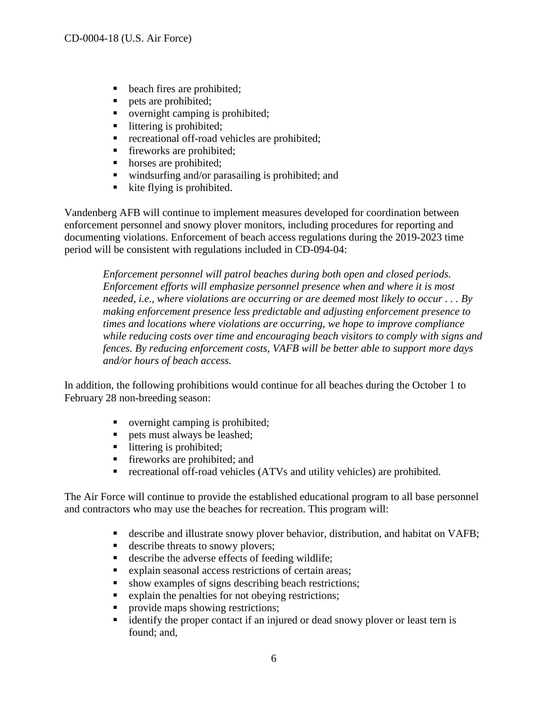- beach fires are prohibited;
- pets are prohibited;
- overnight camping is prohibited;
- littering is prohibited;<br>■ recreational off-road v
- recreational off-road vehicles are prohibited;
- **fireworks** are prohibited;
- horses are prohibited;
- windsurfing and/or parasailing is prohibited; and
- $\blacksquare$  kite flying is prohibited.

Vandenberg AFB will continue to implement measures developed for coordination between enforcement personnel and snowy plover monitors, including procedures for reporting and documenting violations. Enforcement of beach access regulations during the 2019-2023 time period will be consistent with regulations included in CD-094-04:

*Enforcement personnel will patrol beaches during both open and closed periods. Enforcement efforts will emphasize personnel presence when and where it is most needed, i.e., where violations are occurring or are deemed most likely to occur . . . By making enforcement presence less predictable and adjusting enforcement presence to times and locations where violations are occurring, we hope to improve compliance while reducing costs over time and encouraging beach visitors to comply with signs and fences. By reducing enforcement costs, VAFB will be better able to support more days and/or hours of beach access.* 

In addition, the following prohibitions would continue for all beaches during the October 1 to February 28 non-breeding season:

- overnight camping is prohibited;
- pets must always be leashed;
- littering is prohibited;
- **fireworks** are prohibited; and
- recreational off-road vehicles (ATVs and utility vehicles) are prohibited.

The Air Force will continue to provide the established educational program to all base personnel and contractors who may use the beaches for recreation. This program will:

- describe and illustrate snowy plover behavior, distribution, and habitat on VAFB;
- describe threats to snowy plovers;
- describe the adverse effects of feeding wildlife;
- explain seasonal access restrictions of certain areas;
- show examples of signs describing beach restrictions;
- **Explain the penalties for not obeying restrictions;**
- provide maps showing restrictions;
- **identify the proper contact if an injured or dead snowy plover or least tern is** found; and,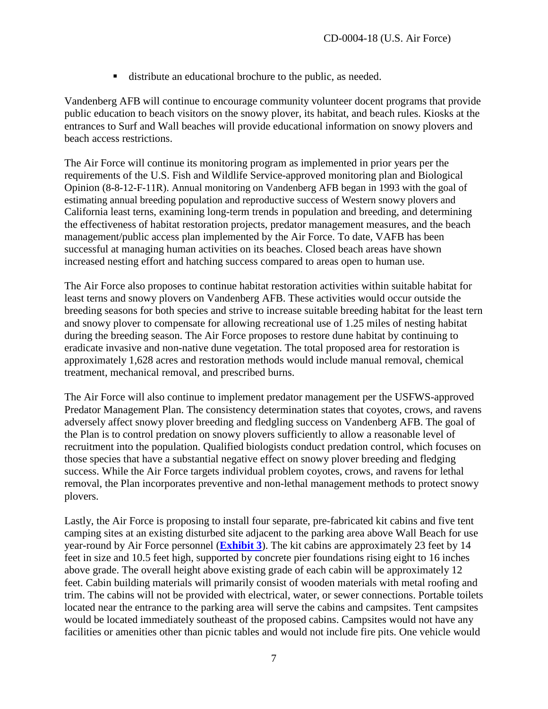distribute an educational brochure to the public, as needed.

Vandenberg AFB will continue to encourage community volunteer docent programs that provide public education to beach visitors on the snowy plover, its habitat, and beach rules. Kiosks at the entrances to Surf and Wall beaches will provide educational information on snowy plovers and beach access restrictions.

The Air Force will continue its monitoring program as implemented in prior years per the requirements of the U.S. Fish and Wildlife Service-approved monitoring plan and Biological Opinion (8-8-12-F-11R). Annual monitoring on Vandenberg AFB began in 1993 with the goal of estimating annual breeding population and reproductive success of Western snowy plovers and California least terns, examining long-term trends in population and breeding, and determining the effectiveness of habitat restoration projects, predator management measures, and the beach management/public access plan implemented by the Air Force. To date, VAFB has been successful at managing human activities on its beaches. Closed beach areas have shown increased nesting effort and hatching success compared to areas open to human use.

The Air Force also proposes to continue habitat restoration activities within suitable habitat for least terns and snowy plovers on Vandenberg AFB. These activities would occur outside the breeding seasons for both species and strive to increase suitable breeding habitat for the least tern and snowy plover to compensate for allowing recreational use of 1.25 miles of nesting habitat during the breeding season. The Air Force proposes to restore dune habitat by continuing to eradicate invasive and non-native dune vegetation. The total proposed area for restoration is approximately 1,628 acres and restoration methods would include manual removal, chemical treatment, mechanical removal, and prescribed burns.

The Air Force will also continue to implement predator management per the USFWS-approved Predator Management Plan. The consistency determination states that coyotes, crows, and ravens adversely affect snowy plover breeding and fledgling success on Vandenberg AFB. The goal of the Plan is to control predation on snowy plovers sufficiently to allow a reasonable level of recruitment into the population. Qualified biologists conduct predation control, which focuses on those species that have a substantial negative effect on snowy plover breeding and fledging success. While the Air Force targets individual problem coyotes, crows, and ravens for lethal removal, the Plan incorporates preventive and non-lethal management methods to protect snowy plovers.

Lastly, the Air Force is proposing to install four separate, pre-fabricated kit cabins and five tent camping sites at an existing disturbed site adjacent to the parking area above Wall Beach for use year-round by Air Force personnel (**[Exhibit 3](https://documents.coastal.ca.gov/reports/2019/12/F14b/F14b-12-2019-exhibits.pdf)**). The kit cabins are approximately 23 feet by 14 feet in size and 10.5 feet high, supported by concrete pier foundations rising eight to 16 inches above grade. The overall height above existing grade of each cabin will be approximately 12 feet. Cabin building materials will primarily consist of wooden materials with metal roofing and trim. The cabins will not be provided with electrical, water, or sewer connections. Portable toilets located near the entrance to the parking area will serve the cabins and campsites. Tent campsites would be located immediately southeast of the proposed cabins. Campsites would not have any facilities or amenities other than picnic tables and would not include fire pits. One vehicle would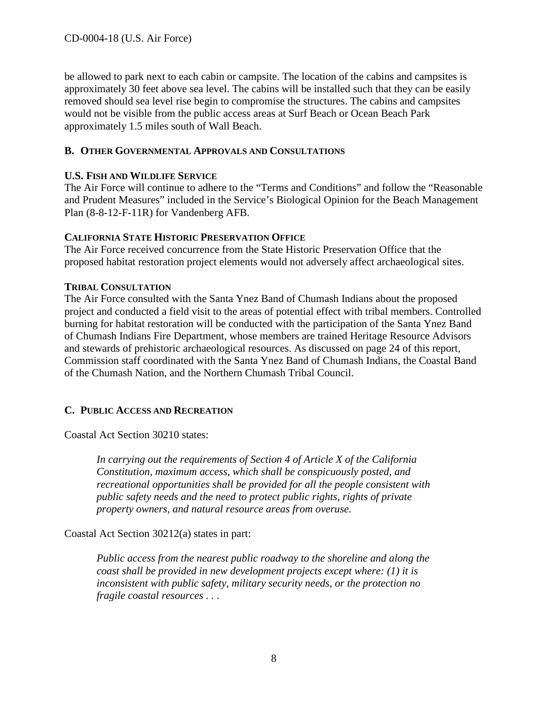be allowed to park next to each cabin or campsite. The location of the cabins and campsites is approximately 30 feet above sea level. The cabins will be installed such that they can be easily removed should sea level rise begin to compromise the structures. The cabins and campsites would not be visible from the public access areas at Surf Beach or Ocean Beach Park approximately 1.5 miles south of Wall Beach.

## <span id="page-7-0"></span>**B. OTHER GOVERNMENTAL APPROVALS AND CONSULTATIONS**

## **U.S. FISH AND WILDLIFE SERVICE**

The Air Force will continue to adhere to the "Terms and Conditions" and follow the "Reasonable and Prudent Measures" included in the Service's Biological Opinion for the Beach Management Plan (8-8-12-F-11R) for Vandenberg AFB.

## **CALIFORNIA STATE HISTORIC PRESERVATION OFFICE**

The Air Force received concurrence from the State Historic Preservation Office that the proposed habitat restoration project elements would not adversely affect archaeological sites.

#### **TRIBAL CONSULTATION**

The Air Force consulted with the Santa Ynez Band of Chumash Indians about the proposed project and conducted a field visit to the areas of potential effect with tribal members. Controlled burning for habitat restoration will be conducted with the participation of the Santa Ynez Band of Chumash Indians Fire Department, whose members are trained Heritage Resource Advisors and stewards of prehistoric archaeological resources. As discussed on page 24 of this report, Commission staff coordinated with the Santa Ynez Band of Chumash Indians, the Coastal Band of the Chumash Nation, and the Northern Chumash Tribal Council.

## <span id="page-7-1"></span>**C. PUBLIC ACCESS AND RECREATION**

Coastal Act Section 30210 states:

*In carrying out the requirements of Section 4 of Article X of the California Constitution, maximum access, which shall be conspicuously posted, and recreational opportunities shall be provided for all the people consistent with public safety needs and the need to protect public rights, rights of private property owners, and natural resource areas from overuse.* 

Coastal Act Section 30212(a) states in part:

*Public access from the nearest public roadway to the shoreline and along the coast shall be provided in new development projects except where: (1) it is inconsistent with public safety, military security needs, or the protection no fragile coastal resources . .* .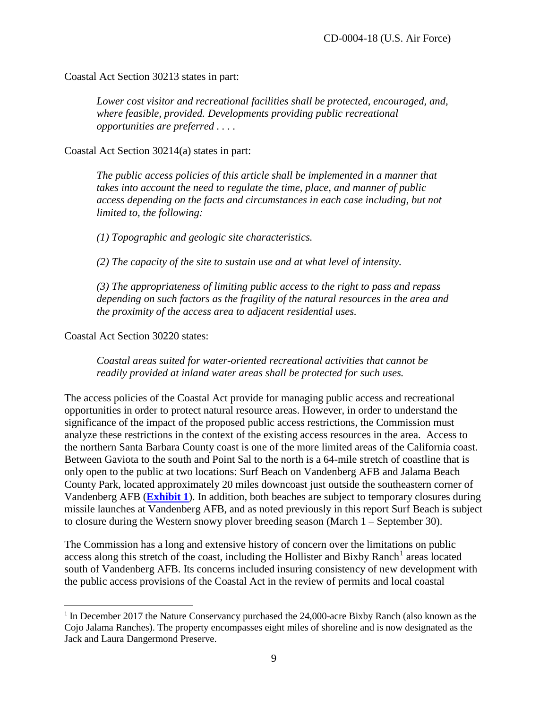Coastal Act Section 30213 states in part:

*Lower cost visitor and recreational facilities shall be protected, encouraged, and, where feasible, provided. Developments providing public recreational opportunities are preferred . . . .* 

Coastal Act Section 30214(a) states in part:

*The public access policies of this article shall be implemented in a manner that takes into account the need to regulate the time, place, and manner of public*  access depending on the facts and circumstances in each case including, but not *limited to, the following:* 

*(1) Topographic and geologic site characteristics.* 

*(2) The capacity of the site to sustain use and at what level of intensity.* 

*(3) The appropriateness of limiting public access to the right to pass and repass depending on such factors as the fragility of the natural resources in the area and the proximity of the access area to adjacent residential uses.* 

Coastal Act Section 30220 states:

 $\overline{a}$ 

*Coastal areas suited for water-oriented recreational activities that cannot be readily provided at inland water areas shall be protected for such uses.* 

The access policies of the Coastal Act provide for managing public access and recreational opportunities in order to protect natural resource areas. However, in order to understand the significance of the impact of the proposed public access restrictions, the Commission must analyze these restrictions in the context of the existing access resources in the area. Access to the northern Santa Barbara County coast is one of the more limited areas of the California coast. Between Gaviota to the south and Point Sal to the north is a 64-mile stretch of coastline that is only open to the public at two locations: Surf Beach on Vandenberg AFB and Jalama Beach County Park, located approximately 20 miles downcoast just outside the southeastern corner of Vandenberg AFB (**[Exhibit 1](https://documents.coastal.ca.gov/reports/2019/12/F14b/F14b-12-2019-exhibits.pdf)**). In addition, both beaches are subject to temporary closures during missile launches at Vandenberg AFB, and as noted previously in this report Surf Beach is subject to closure during the Western snowy plover breeding season (March 1 – September 30).

The Commission has a long and extensive history of concern over the limitations on public access along this stretch of the coast, including the Hollister and Bixby Ranch<sup>[1](#page-8-0)</sup> areas located south of Vandenberg AFB. Its concerns included insuring consistency of new development with the public access provisions of the Coastal Act in the review of permits and local coastal

<span id="page-8-0"></span><sup>&</sup>lt;sup>1</sup> In December 2017 the Nature Conservancy purchased the 24,000-acre Bixby Ranch (also known as the Cojo Jalama Ranches). The property encompasses eight miles of shoreline and is now designated as the Jack and Laura Dangermond Preserve.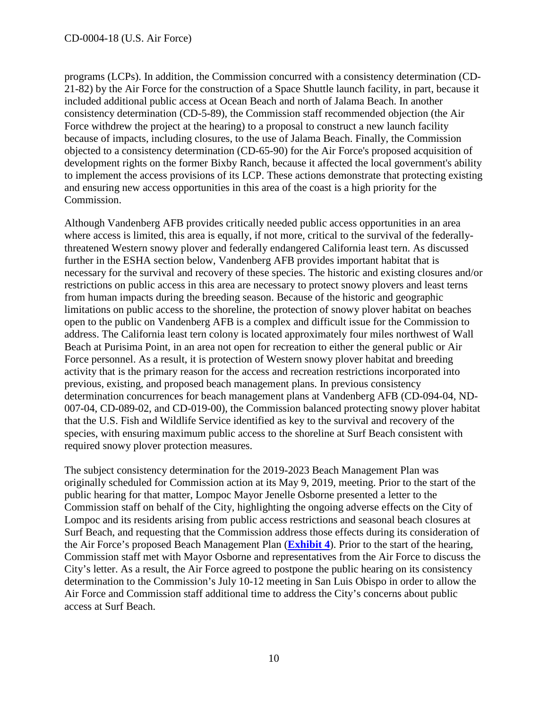programs (LCPs). In addition, the Commission concurred with a consistency determination (CD-21-82) by the Air Force for the construction of a Space Shuttle launch facility, in part, because it included additional public access at Ocean Beach and north of Jalama Beach. In another consistency determination (CD-5-89), the Commission staff recommended objection (the Air Force withdrew the project at the hearing) to a proposal to construct a new launch facility because of impacts, including closures, to the use of Jalama Beach. Finally, the Commission objected to a consistency determination (CD-65-90) for the Air Force's proposed acquisition of development rights on the former Bixby Ranch, because it affected the local government's ability to implement the access provisions of its LCP. These actions demonstrate that protecting existing and ensuring new access opportunities in this area of the coast is a high priority for the Commission.

Although Vandenberg AFB provides critically needed public access opportunities in an area where access is limited, this area is equally, if not more, critical to the survival of the federallythreatened Western snowy plover and federally endangered California least tern. As discussed further in the ESHA section below, Vandenberg AFB provides important habitat that is necessary for the survival and recovery of these species. The historic and existing closures and/or restrictions on public access in this area are necessary to protect snowy plovers and least terns from human impacts during the breeding season. Because of the historic and geographic limitations on public access to the shoreline, the protection of snowy plover habitat on beaches open to the public on Vandenberg AFB is a complex and difficult issue for the Commission to address. The California least tern colony is located approximately four miles northwest of Wall Beach at Purisima Point, in an area not open for recreation to either the general public or Air Force personnel. As a result, it is protection of Western snowy plover habitat and breeding activity that is the primary reason for the access and recreation restrictions incorporated into previous, existing, and proposed beach management plans. In previous consistency determination concurrences for beach management plans at Vandenberg AFB (CD-094-04, ND-007-04, CD-089-02, and CD-019-00), the Commission balanced protecting snowy plover habitat that the U.S. Fish and Wildlife Service identified as key to the survival and recovery of the species, with ensuring maximum public access to the shoreline at Surf Beach consistent with required snowy plover protection measures.

The subject consistency determination for the 2019-2023 Beach Management Plan was originally scheduled for Commission action at its May 9, 2019, meeting. Prior to the start of the public hearing for that matter, Lompoc Mayor Jenelle Osborne presented a letter to the Commission staff on behalf of the City, highlighting the ongoing adverse effects on the City of Lompoc and its residents arising from public access restrictions and seasonal beach closures at Surf Beach, and requesting that the Commission address those effects during its consideration of the Air Force's proposed Beach Management Plan (**[Exhibit 4](https://documents.coastal.ca.gov/reports/2019/12/F14b/F14b-12-2019-exhibits.pdf)**). Prior to the start of the hearing, Commission staff met with Mayor Osborne and representatives from the Air Force to discuss the City's letter. As a result, the Air Force agreed to postpone the public hearing on its consistency determination to the Commission's July 10-12 meeting in San Luis Obispo in order to allow the Air Force and Commission staff additional time to address the City's concerns about public access at Surf Beach.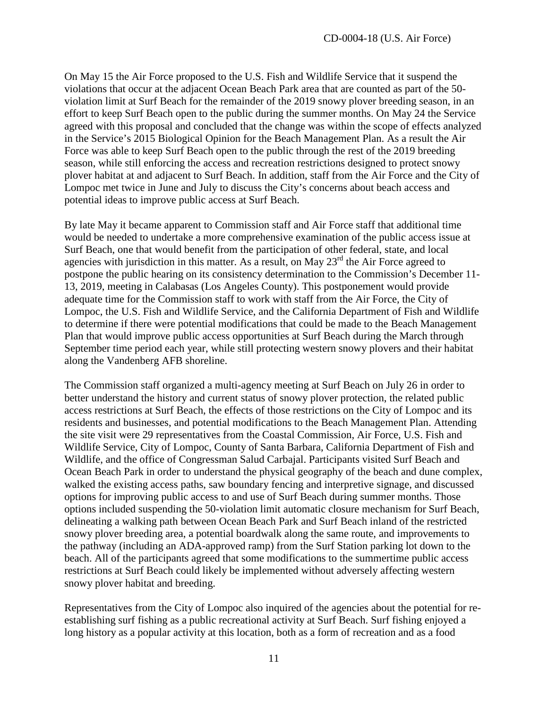On May 15 the Air Force proposed to the U.S. Fish and Wildlife Service that it suspend the violations that occur at the adjacent Ocean Beach Park area that are counted as part of the 50 violation limit at Surf Beach for the remainder of the 2019 snowy plover breeding season, in an effort to keep Surf Beach open to the public during the summer months. On May 24 the Service agreed with this proposal and concluded that the change was within the scope of effects analyzed in the Service's 2015 Biological Opinion for the Beach Management Plan. As a result the Air Force was able to keep Surf Beach open to the public through the rest of the 2019 breeding season, while still enforcing the access and recreation restrictions designed to protect snowy plover habitat at and adjacent to Surf Beach. In addition, staff from the Air Force and the City of Lompoc met twice in June and July to discuss the City's concerns about beach access and potential ideas to improve public access at Surf Beach.

By late May it became apparent to Commission staff and Air Force staff that additional time would be needed to undertake a more comprehensive examination of the public access issue at Surf Beach, one that would benefit from the participation of other federal, state, and local agencies with jurisdiction in this matter. As a result, on May  $23<sup>rd</sup>$  the Air Force agreed to postpone the public hearing on its consistency determination to the Commission's December 11- 13, 2019, meeting in Calabasas (Los Angeles County). This postponement would provide adequate time for the Commission staff to work with staff from the Air Force, the City of Lompoc, the U.S. Fish and Wildlife Service, and the California Department of Fish and Wildlife to determine if there were potential modifications that could be made to the Beach Management Plan that would improve public access opportunities at Surf Beach during the March through September time period each year, while still protecting western snowy plovers and their habitat along the Vandenberg AFB shoreline.

The Commission staff organized a multi-agency meeting at Surf Beach on July 26 in order to better understand the history and current status of snowy plover protection, the related public access restrictions at Surf Beach, the effects of those restrictions on the City of Lompoc and its residents and businesses, and potential modifications to the Beach Management Plan. Attending the site visit were 29 representatives from the Coastal Commission, Air Force, U.S. Fish and Wildlife Service, City of Lompoc, County of Santa Barbara, California Department of Fish and Wildlife, and the office of Congressman Salud Carbajal. Participants visited Surf Beach and Ocean Beach Park in order to understand the physical geography of the beach and dune complex, walked the existing access paths, saw boundary fencing and interpretive signage, and discussed options for improving public access to and use of Surf Beach during summer months. Those options included suspending the 50-violation limit automatic closure mechanism for Surf Beach, delineating a walking path between Ocean Beach Park and Surf Beach inland of the restricted snowy plover breeding area, a potential boardwalk along the same route, and improvements to the pathway (including an ADA-approved ramp) from the Surf Station parking lot down to the beach. All of the participants agreed that some modifications to the summertime public access restrictions at Surf Beach could likely be implemented without adversely affecting western snowy plover habitat and breeding.

Representatives from the City of Lompoc also inquired of the agencies about the potential for reestablishing surf fishing as a public recreational activity at Surf Beach. Surf fishing enjoyed a long history as a popular activity at this location, both as a form of recreation and as a food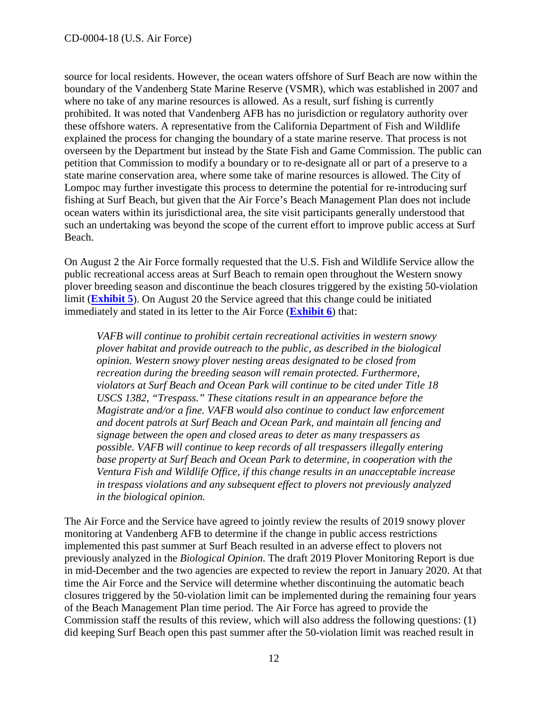source for local residents. However, the ocean waters offshore of Surf Beach are now within the boundary of the Vandenberg State Marine Reserve (VSMR), which was established in 2007 and where no take of any marine resources is allowed. As a result, surf fishing is currently prohibited. It was noted that Vandenberg AFB has no jurisdiction or regulatory authority over these offshore waters. A representative from the California Department of Fish and Wildlife explained the process for changing the boundary of a state marine reserve. That process is not overseen by the Department but instead by the State Fish and Game Commission. The public can petition that Commission to modify a boundary or to re-designate all or part of a preserve to a state marine conservation area, where some take of marine resources is allowed. The City of Lompoc may further investigate this process to determine the potential for re-introducing surf fishing at Surf Beach, but given that the Air Force's Beach Management Plan does not include ocean waters within its jurisdictional area, the site visit participants generally understood that such an undertaking was beyond the scope of the current effort to improve public access at Surf Beach.

On August 2 the Air Force formally requested that the U.S. Fish and Wildlife Service allow the public recreational access areas at Surf Beach to remain open throughout the Western snowy plover breeding season and discontinue the beach closures triggered by the existing 50-violation limit (**[Exhibit 5](https://documents.coastal.ca.gov/reports/2019/12/F14b/F14b-12-2019-exhibits.pdf)**). On August 20 the Service agreed that this change could be initiated immediately and stated in its letter to the Air Force (**[Exhibit 6](https://documents.coastal.ca.gov/reports/2019/12/F14b/F14b-12-2019-exhibits.pdf)**) that:

*VAFB will continue to prohibit certain recreational activities in western snowy plover habitat and provide outreach to the public, as described in the biological opinion. Western snowy plover nesting areas designated to be closed from recreation during the breeding season will remain protected. Furthermore, violators at Surf Beach and Ocean Park will continue to be cited under Title 18 USCS 1382, "Trespass." These citations result in an appearance before the Magistrate and/or a fine. VAFB would also continue to conduct law enforcement and docent patrols at Surf Beach and Ocean Park, and maintain all fencing and signage between the open and closed areas to deter as many trespassers as possible. VAFB will continue to keep records of all trespassers illegally entering base property at Surf Beach and Ocean Park to determine, in cooperation with the Ventura Fish and Wildlife Office, if this change results in an unacceptable increase in trespass violations and any subsequent effect to plovers not previously analyzed in the biological opinion.* 

The Air Force and the Service have agreed to jointly review the results of 2019 snowy plover monitoring at Vandenberg AFB to determine if the change in public access restrictions implemented this past summer at Surf Beach resulted in an adverse effect to plovers not previously analyzed in the *Biological Opinion*. The draft 2019 Plover Monitoring Report is due in mid-December and the two agencies are expected to review the report in January 2020. At that time the Air Force and the Service will determine whether discontinuing the automatic beach closures triggered by the 50-violation limit can be implemented during the remaining four years of the Beach Management Plan time period. The Air Force has agreed to provide the Commission staff the results of this review, which will also address the following questions: (1) did keeping Surf Beach open this past summer after the 50-violation limit was reached result in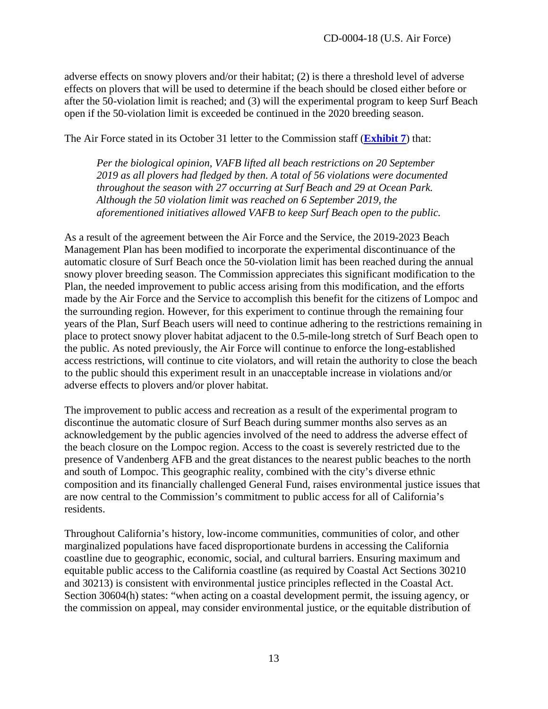adverse effects on snowy plovers and/or their habitat; (2) is there a threshold level of adverse effects on plovers that will be used to determine if the beach should be closed either before or after the 50-violation limit is reached; and (3) will the experimental program to keep Surf Beach open if the 50-violation limit is exceeded be continued in the 2020 breeding season.

The Air Force stated in its October 31 letter to the Commission staff (**[Exhibit 7](https://documents.coastal.ca.gov/reports/2019/12/F14b/F14b-12-2019-exhibits.pdf)**) that:

*Per the biological opinion, VAFB lifted all beach restrictions on 20 September 2019 as all plovers had fledged by then. A total of 56 violations were documented throughout the season with 27 occurring at Surf Beach and 29 at Ocean Park. Although the 50 violation limit was reached on 6 September 2019, the aforementioned initiatives allowed VAFB to keep Surf Beach open to the public.* 

As a result of the agreement between the Air Force and the Service, the 2019-2023 Beach Management Plan has been modified to incorporate the experimental discontinuance of the automatic closure of Surf Beach once the 50-violation limit has been reached during the annual snowy plover breeding season. The Commission appreciates this significant modification to the Plan, the needed improvement to public access arising from this modification, and the efforts made by the Air Force and the Service to accomplish this benefit for the citizens of Lompoc and the surrounding region. However, for this experiment to continue through the remaining four years of the Plan, Surf Beach users will need to continue adhering to the restrictions remaining in place to protect snowy plover habitat adjacent to the 0.5-mile-long stretch of Surf Beach open to the public. As noted previously, the Air Force will continue to enforce the long-established access restrictions, will continue to cite violators, and will retain the authority to close the beach to the public should this experiment result in an unacceptable increase in violations and/or adverse effects to plovers and/or plover habitat.

The improvement to public access and recreation as a result of the experimental program to discontinue the automatic closure of Surf Beach during summer months also serves as an acknowledgement by the public agencies involved of the need to address the adverse effect of the beach closure on the Lompoc region. Access to the coast is severely restricted due to the presence of Vandenberg AFB and the great distances to the nearest public beaches to the north and south of Lompoc. This geographic reality, combined with the city's diverse ethnic composition and its financially challenged General Fund, raises environmental justice issues that are now central to the Commission's commitment to public access for all of California's residents.

Throughout California's history, low-income communities, communities of color, and other marginalized populations have faced disproportionate burdens in accessing the California coastline due to geographic, economic, social, and cultural barriers. Ensuring maximum and equitable public access to the California coastline (as required by Coastal Act Sections 30210 and 30213) is consistent with environmental justice principles reflected in the Coastal Act. Section 30604(h) states: "when acting on a coastal development permit, the issuing agency, or the commission on appeal, may consider environmental justice, or the equitable distribution of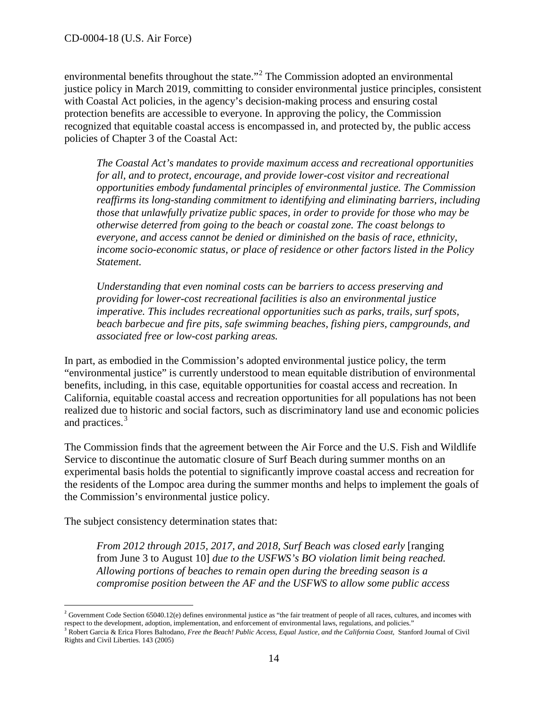environmental benefits throughout the state."<sup>[2](#page-13-0)</sup> The Commission adopted an environmental justice policy in March 2019, committing to consider environmental justice principles, consistent with Coastal Act policies, in the agency's decision-making process and ensuring costal protection benefits are accessible to everyone. In approving the policy, the Commission recognized that equitable coastal access is encompassed in, and protected by, the public access policies of Chapter 3 of the Coastal Act:

*The Coastal Act's mandates to provide maximum access and recreational opportunities for all, and to protect, encourage, and provide lower-cost visitor and recreational opportunities embody fundamental principles of environmental justice. The Commission reaffirms its long-standing commitment to identifying and eliminating barriers, including those that unlawfully privatize public spaces, in order to provide for those who may be otherwise deterred from going to the beach or coastal zone. The coast belongs to everyone, and access cannot be denied or diminished on the basis of race, ethnicity, income socio-economic status, or place of residence or other factors listed in the Policy Statement.* 

*Understanding that even nominal costs can be barriers to access preserving and providing for lower-cost recreational facilities is also an environmental justice imperative. This includes recreational opportunities such as parks, trails, surf spots, beach barbecue and fire pits, safe swimming beaches, fishing piers, campgrounds, and associated free or low-cost parking areas.* 

In part, as embodied in the Commission's adopted environmental justice policy, the term "environmental justice" is currently understood to mean equitable distribution of environmental benefits, including, in this case, equitable opportunities for coastal access and recreation. In California, equitable coastal access and recreation opportunities for all populations has not been realized due to historic and social factors, such as discriminatory land use and economic policies and practices.<sup>[3](#page-13-1)</sup>

The Commission finds that the agreement between the Air Force and the U.S. Fish and Wildlife Service to discontinue the automatic closure of Surf Beach during summer months on an experimental basis holds the potential to significantly improve coastal access and recreation for the residents of the Lompoc area during the summer months and helps to implement the goals of the Commission's environmental justice policy.

The subject consistency determination states that:

*From 2012 through 2015, 2017, and 2018, Surf Beach was closed early* [ranging from June 3 to August 10] *due to the USFWS's BO violation limit being reached. Allowing portions of beaches to remain open during the breeding season is a compromise position between the AF and the USFWS to allow some public access* 

<span id="page-13-0"></span> $\overline{a}$  $^2$  Government Code Section 65040.12(e) defines environmental justice as "the fair treatment of people of all races, cultures, and incomes with respect to the development, adoption, implementation, and enforcement of environmental laws, regulations, and policies."

<span id="page-13-1"></span><sup>&</sup>lt;sup>3</sup> Robert Garcia & Erica Flores Baltodano, Free the Beach! Public Access, Equal Justice, and the California Coast, Stanford Journal of Civil Rights and Civil Liberties. 143 (2005)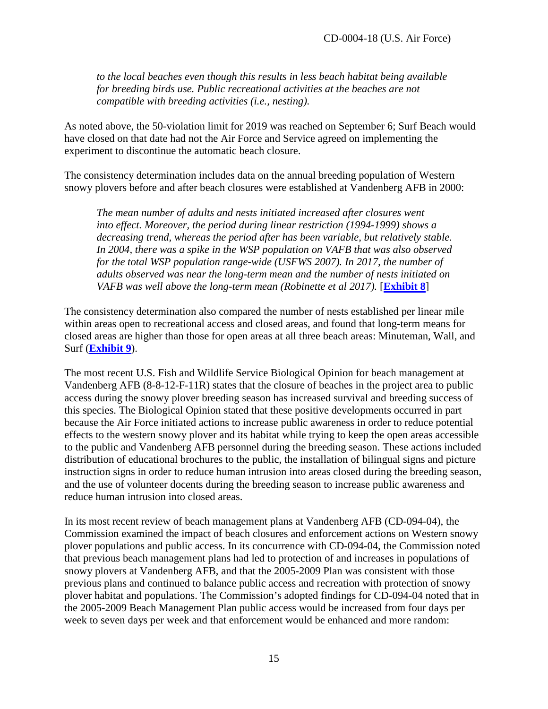*to the local beaches even though this results in less beach habitat being available for breeding birds use. Public recreational activities at the beaches are not compatible with breeding activities (i.e., nesting).*

As noted above, the 50-violation limit for 2019 was reached on September 6; Surf Beach would have closed on that date had not the Air Force and Service agreed on implementing the experiment to discontinue the automatic beach closure.

The consistency determination includes data on the annual breeding population of Western snowy plovers before and after beach closures were established at Vandenberg AFB in 2000:

*The mean number of adults and nests initiated increased after closures went into effect. Moreover, the period during linear restriction (1994-1999) shows a decreasing trend, whereas the period after has been variable, but relatively stable. In 2004, there was a spike in the WSP population on VAFB that was also observed for the total WSP population range-wide (USFWS 2007). In 2017, the number of adults observed was near the long-term mean and the number of nests initiated on VAFB was well above the long-term mean (Robinette et al 2017).* [**[Exhibit 8](https://documents.coastal.ca.gov/reports/2019/12/F14b/F14b-12-2019-exhibits.pdf)**]

The consistency determination also compared the number of nests established per linear mile within areas open to recreational access and closed areas, and found that long-term means for closed areas are higher than those for open areas at all three beach areas: Minuteman, Wall, and Surf (**[Exhibit 9](https://documents.coastal.ca.gov/reports/2019/12/F14b/F14b-12-2019-exhibits.pdf)**).

The most recent U.S. Fish and Wildlife Service Biological Opinion for beach management at Vandenberg AFB (8-8-12-F-11R) states that the closure of beaches in the project area to public access during the snowy plover breeding season has increased survival and breeding success of this species. The Biological Opinion stated that these positive developments occurred in part because the Air Force initiated actions to increase public awareness in order to reduce potential effects to the western snowy plover and its habitat while trying to keep the open areas accessible to the public and Vandenberg AFB personnel during the breeding season. These actions included distribution of educational brochures to the public, the installation of bilingual signs and picture instruction signs in order to reduce human intrusion into areas closed during the breeding season, and the use of volunteer docents during the breeding season to increase public awareness and reduce human intrusion into closed areas.

In its most recent review of beach management plans at Vandenberg AFB (CD-094-04), the Commission examined the impact of beach closures and enforcement actions on Western snowy plover populations and public access. In its concurrence with CD-094-04, the Commission noted that previous beach management plans had led to protection of and increases in populations of snowy plovers at Vandenberg AFB, and that the 2005-2009 Plan was consistent with those previous plans and continued to balance public access and recreation with protection of snowy plover habitat and populations. The Commission's adopted findings for CD-094-04 noted that in the 2005-2009 Beach Management Plan public access would be increased from four days per week to seven days per week and that enforcement would be enhanced and more random: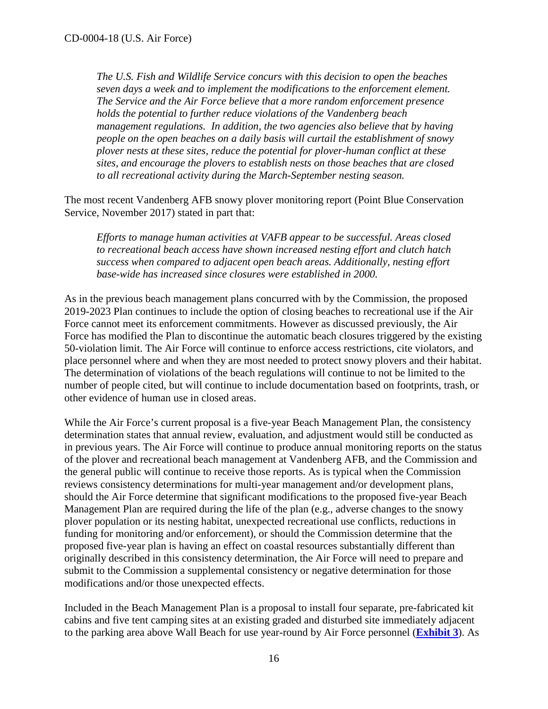*The U.S. Fish and Wildlife Service concurs with this decision to open the beaches seven days a week and to implement the modifications to the enforcement element. The Service and the Air Force believe that a more random enforcement presence holds the potential to further reduce violations of the Vandenberg beach management regulations. In addition, the two agencies also believe that by having people on the open beaches on a daily basis will curtail the establishment of snowy plover nests at these sites, reduce the potential for plover-human conflict at these sites, and encourage the plovers to establish nests on those beaches that are closed to all recreational activity during the March-September nesting season.* 

The most recent Vandenberg AFB snowy plover monitoring report (Point Blue Conservation Service, November 2017) stated in part that:

*Efforts to manage human activities at VAFB appear to be successful. Areas closed to recreational beach access have shown increased nesting effort and clutch hatch success when compared to adjacent open beach areas. Additionally, nesting effort base-wide has increased since closures were established in 2000.* 

As in the previous beach management plans concurred with by the Commission, the proposed 2019-2023 Plan continues to include the option of closing beaches to recreational use if the Air Force cannot meet its enforcement commitments. However as discussed previously, the Air Force has modified the Plan to discontinue the automatic beach closures triggered by the existing 50-violation limit. The Air Force will continue to enforce access restrictions, cite violators, and place personnel where and when they are most needed to protect snowy plovers and their habitat. The determination of violations of the beach regulations will continue to not be limited to the number of people cited, but will continue to include documentation based on footprints, trash, or other evidence of human use in closed areas.

While the Air Force's current proposal is a five-year Beach Management Plan, the consistency determination states that annual review, evaluation, and adjustment would still be conducted as in previous years. The Air Force will continue to produce annual monitoring reports on the status of the plover and recreational beach management at Vandenberg AFB, and the Commission and the general public will continue to receive those reports. As is typical when the Commission reviews consistency determinations for multi-year management and/or development plans, should the Air Force determine that significant modifications to the proposed five-year Beach Management Plan are required during the life of the plan (e.g., adverse changes to the snowy plover population or its nesting habitat, unexpected recreational use conflicts, reductions in funding for monitoring and/or enforcement), or should the Commission determine that the proposed five-year plan is having an effect on coastal resources substantially different than originally described in this consistency determination, the Air Force will need to prepare and submit to the Commission a supplemental consistency or negative determination for those modifications and/or those unexpected effects.

Included in the Beach Management Plan is a proposal to install four separate, pre-fabricated kit cabins and five tent camping sites at an existing graded and disturbed site immediately adjacent to the parking area above Wall Beach for use year-round by Air Force personnel (**[Exhibit 3](https://documents.coastal.ca.gov/reports/2019/12/F14b/F14b-12-2019-exhibits.pdf)**). As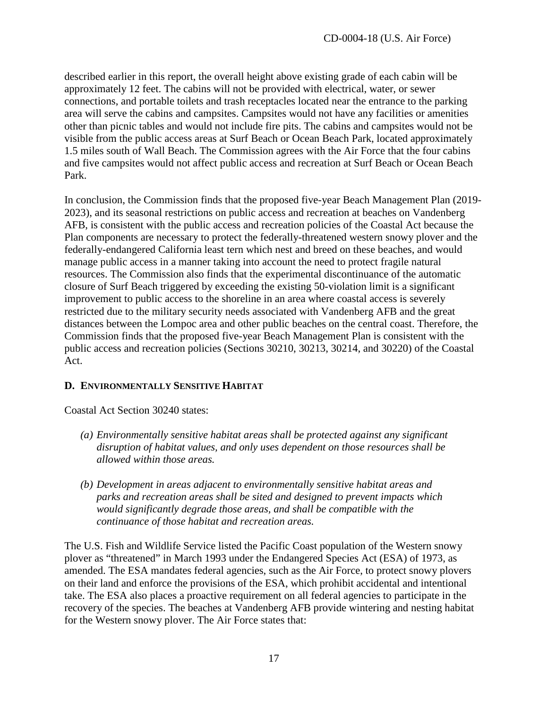described earlier in this report, the overall height above existing grade of each cabin will be approximately 12 feet. The cabins will not be provided with electrical, water, or sewer connections, and portable toilets and trash receptacles located near the entrance to the parking area will serve the cabins and campsites. Campsites would not have any facilities or amenities other than picnic tables and would not include fire pits. The cabins and campsites would not be visible from the public access areas at Surf Beach or Ocean Beach Park, located approximately 1.5 miles south of Wall Beach. The Commission agrees with the Air Force that the four cabins and five campsites would not affect public access and recreation at Surf Beach or Ocean Beach Park.

In conclusion, the Commission finds that the proposed five-year Beach Management Plan (2019- 2023), and its seasonal restrictions on public access and recreation at beaches on Vandenberg AFB, is consistent with the public access and recreation policies of the Coastal Act because the Plan components are necessary to protect the federally-threatened western snowy plover and the federally-endangered California least tern which nest and breed on these beaches, and would manage public access in a manner taking into account the need to protect fragile natural resources. The Commission also finds that the experimental discontinuance of the automatic closure of Surf Beach triggered by exceeding the existing 50-violation limit is a significant improvement to public access to the shoreline in an area where coastal access is severely restricted due to the military security needs associated with Vandenberg AFB and the great distances between the Lompoc area and other public beaches on the central coast. Therefore, the Commission finds that the proposed five-year Beach Management Plan is consistent with the public access and recreation policies (Sections 30210, 30213, 30214, and 30220) of the Coastal Act.

## <span id="page-16-0"></span>**D. ENVIRONMENTALLY SENSITIVE HABITAT**

Coastal Act Section 30240 states:

- *(a) Environmentally sensitive habitat areas shall be protected against any significant disruption of habitat values, and only uses dependent on those resources shall be allowed within those areas.*
- *(b) Development in areas adjacent to environmentally sensitive habitat areas and parks and recreation areas shall be sited and designed to prevent impacts which would significantly degrade those areas, and shall be compatible with the continuance of those habitat and recreation areas.*

The U.S. Fish and Wildlife Service listed the Pacific Coast population of the Western snowy plover as "threatened" in March 1993 under the Endangered Species Act (ESA) of 1973, as amended. The ESA mandates federal agencies, such as the Air Force, to protect snowy plovers on their land and enforce the provisions of the ESA, which prohibit accidental and intentional take. The ESA also places a proactive requirement on all federal agencies to participate in the recovery of the species. The beaches at Vandenberg AFB provide wintering and nesting habitat for the Western snowy plover. The Air Force states that: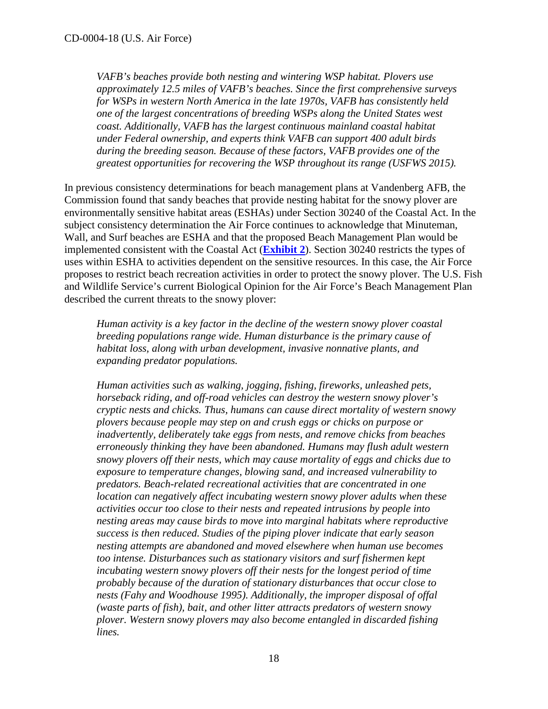*VAFB's beaches provide both nesting and wintering WSP habitat. Plovers use approximately 12.5 miles of VAFB's beaches. Since the first comprehensive surveys for WSPs in western North America in the late 1970s, VAFB has consistently held one of the largest concentrations of breeding WSPs along the United States west coast. Additionally, VAFB has the largest continuous mainland coastal habitat under Federal ownership, and experts think VAFB can support 400 adult birds during the breeding season. Because of these factors, VAFB provides one of the greatest opportunities for recovering the WSP throughout its range (USFWS 2015).* 

In previous consistency determinations for beach management plans at Vandenberg AFB, the Commission found that sandy beaches that provide nesting habitat for the snowy plover are environmentally sensitive habitat areas (ESHAs) under Section 30240 of the Coastal Act. In the subject consistency determination the Air Force continues to acknowledge that Minuteman, Wall, and Surf beaches are ESHA and that the proposed Beach Management Plan would be implemented consistent with the Coastal Act (**[Exhibit 2](https://documents.coastal.ca.gov/reports/2019/12/F14b/F14b-12-2019-exhibits.pdf)**). Section 30240 restricts the types of uses within ESHA to activities dependent on the sensitive resources. In this case, the Air Force proposes to restrict beach recreation activities in order to protect the snowy plover. The U.S. Fish and Wildlife Service's current Biological Opinion for the Air Force's Beach Management Plan described the current threats to the snowy plover:

*Human activity is a key factor in the decline of the western snowy plover coastal breeding populations range wide. Human disturbance is the primary cause of habitat loss, along with urban development, invasive nonnative plants, and expanding predator populations.* 

*Human activities such as walking, jogging, fishing, fireworks, unleashed pets, horseback riding, and off-road vehicles can destroy the western snowy plover's cryptic nests and chicks. Thus, humans can cause direct mortality of western snowy plovers because people may step on and crush eggs or chicks on purpose or inadvertently, deliberately take eggs from nests, and remove chicks from beaches erroneously thinking they have been abandoned. Humans may flush adult western snowy plovers off their nests, which may cause mortality of eggs and chicks due to exposure to temperature changes, blowing sand, and increased vulnerability to predators. Beach-related recreational activities that are concentrated in one location can negatively affect incubating western snowy plover adults when these activities occur too close to their nests and repeated intrusions by people into nesting areas may cause birds to move into marginal habitats where reproductive success is then reduced. Studies of the piping plover indicate that early season nesting attempts are abandoned and moved elsewhere when human use becomes too intense. Disturbances such as stationary visitors and surf fishermen kept incubating western snowy plovers off their nests for the longest period of time probably because of the duration of stationary disturbances that occur close to nests (Fahy and Woodhouse 1995). Additionally, the improper disposal of offal (waste parts of fish), bait, and other litter attracts predators of western snowy plover. Western snowy plovers may also become entangled in discarded fishing lines.*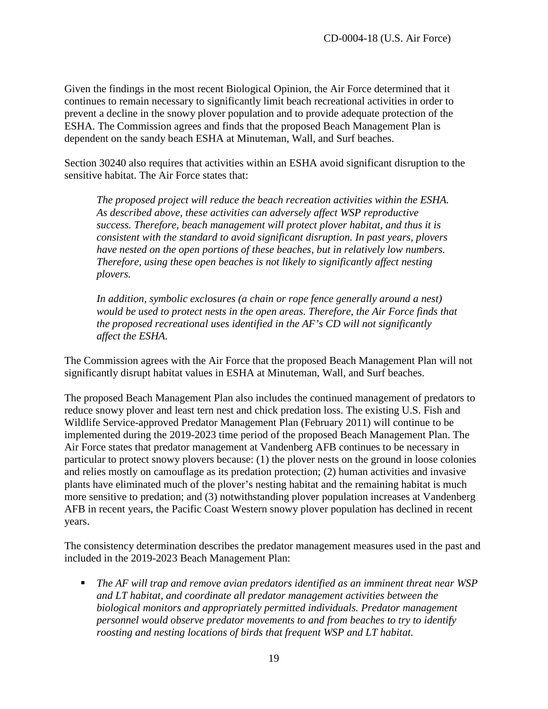Given the findings in the most recent Biological Opinion, the Air Force determined that it continues to remain necessary to significantly limit beach recreational activities in order to prevent a decline in the snowy plover population and to provide adequate protection of the ESHA. The Commission agrees and finds that the proposed Beach Management Plan is dependent on the sandy beach ESHA at Minuteman, Wall, and Surf beaches.

Section 30240 also requires that activities within an ESHA avoid significant disruption to the sensitive habitat. The Air Force states that:

*The proposed project will reduce the beach recreation activities within the ESHA. As described above, these activities can adversely affect WSP reproductive success. Therefore, beach management will protect plover habitat, and thus it is consistent with the standard to avoid significant disruption. In past years, plovers have nested on the open portions of these beaches, but in relatively low numbers. Therefore, using these open beaches is not likely to significantly affect nesting plovers.*

*In addition, symbolic exclosures (a chain or rope fence generally around a nest) would be used to protect nests in the open areas. Therefore, the Air Force finds that the proposed recreational uses identified in the AF's CD will not significantly affect the ESHA.* 

The Commission agrees with the Air Force that the proposed Beach Management Plan will not significantly disrupt habitat values in ESHA at Minuteman, Wall, and Surf beaches.

The proposed Beach Management Plan also includes the continued management of predators to reduce snowy plover and least tern nest and chick predation loss. The existing U.S. Fish and Wildlife Service-approved Predator Management Plan (February 2011) will continue to be implemented during the 2019-2023 time period of the proposed Beach Management Plan. The Air Force states that predator management at Vandenberg AFB continues to be necessary in particular to protect snowy plovers because: (1) the plover nests on the ground in loose colonies and relies mostly on camouflage as its predation protection; (2) human activities and invasive plants have eliminated much of the plover's nesting habitat and the remaining habitat is much more sensitive to predation; and (3) notwithstanding plover population increases at Vandenberg AFB in recent years, the Pacific Coast Western snowy plover population has declined in recent years.

The consistency determination describes the predator management measures used in the past and included in the 2019-2023 Beach Management Plan:

 *The AF will trap and remove avian predators identified as an imminent threat near WSP and LT habitat, and coordinate all predator management activities between the biological monitors and appropriately permitted individuals. Predator management personnel would observe predator movements to and from beaches to try to identify roosting and nesting locations of birds that frequent WSP and LT habitat.*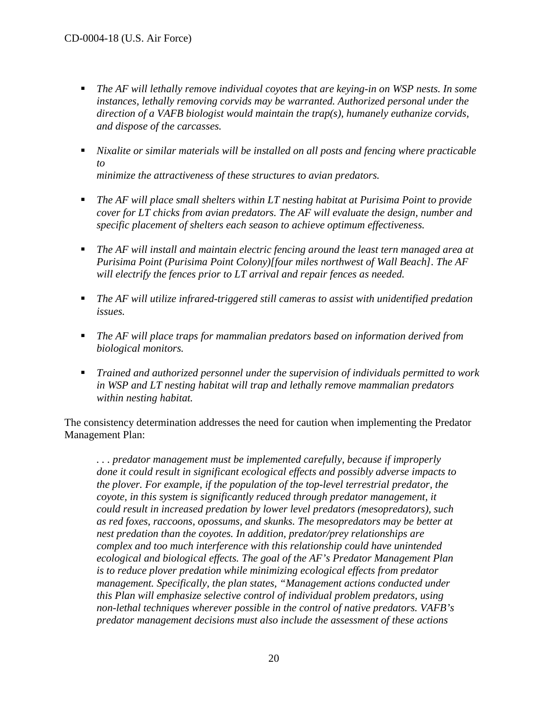- *The AF will lethally remove individual coyotes that are keying-in on WSP nests. In some instances, lethally removing corvids may be warranted. Authorized personal under the direction of a VAFB biologist would maintain the trap(s), humanely euthanize corvids, and dispose of the carcasses.*
- *Nixalite or similar materials will be installed on all posts and fencing where practicable to minimize the attractiveness of these structures to avian predators.*
- *The AF will place small shelters within LT nesting habitat at Purisima Point to provide cover for LT chicks from avian predators. The AF will evaluate the design, number and specific placement of shelters each season to achieve optimum effectiveness.*
- *The AF will install and maintain electric fencing around the least tern managed area at Purisima Point (Purisima Point Colony)[four miles northwest of Wall Beach]. The AF will electrify the fences prior to LT arrival and repair fences as needed.*
- *The AF will utilize infrared-triggered still cameras to assist with unidentified predation issues.*
- *The AF will place traps for mammalian predators based on information derived from biological monitors.*
- *Trained and authorized personnel under the supervision of individuals permitted to work in WSP and LT nesting habitat will trap and lethally remove mammalian predators within nesting habitat.*

The consistency determination addresses the need for caution when implementing the Predator Management Plan:

*. . . predator management must be implemented carefully, because if improperly done it could result in significant ecological effects and possibly adverse impacts to the plover. For example, if the population of the top-level terrestrial predator, the coyote, in this system is significantly reduced through predator management, it could result in increased predation by lower level predators (mesopredators), such as red foxes, raccoons, opossums, and skunks. The mesopredators may be better at nest predation than the coyotes. In addition, predator/prey relationships are complex and too much interference with this relationship could have unintended ecological and biological effects. The goal of the AF's Predator Management Plan is to reduce plover predation while minimizing ecological effects from predator management. Specifically, the plan states, "Management actions conducted under this Plan will emphasize selective control of individual problem predators, using non-lethal techniques wherever possible in the control of native predators. VAFB's predator management decisions must also include the assessment of these actions*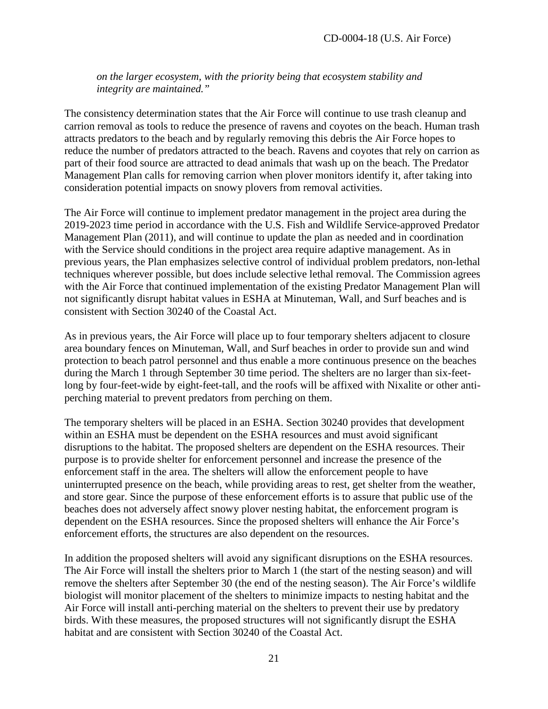*on the larger ecosystem, with the priority being that ecosystem stability and integrity are maintained."* 

The consistency determination states that the Air Force will continue to use trash cleanup and carrion removal as tools to reduce the presence of ravens and coyotes on the beach. Human trash attracts predators to the beach and by regularly removing this debris the Air Force hopes to reduce the number of predators attracted to the beach. Ravens and coyotes that rely on carrion as part of their food source are attracted to dead animals that wash up on the beach. The Predator Management Plan calls for removing carrion when plover monitors identify it, after taking into consideration potential impacts on snowy plovers from removal activities.

The Air Force will continue to implement predator management in the project area during the 2019-2023 time period in accordance with the U.S. Fish and Wildlife Service-approved Predator Management Plan (2011), and will continue to update the plan as needed and in coordination with the Service should conditions in the project area require adaptive management. As in previous years, the Plan emphasizes selective control of individual problem predators, non-lethal techniques wherever possible, but does include selective lethal removal. The Commission agrees with the Air Force that continued implementation of the existing Predator Management Plan will not significantly disrupt habitat values in ESHA at Minuteman, Wall, and Surf beaches and is consistent with Section 30240 of the Coastal Act.

As in previous years, the Air Force will place up to four temporary shelters adjacent to closure area boundary fences on Minuteman, Wall, and Surf beaches in order to provide sun and wind protection to beach patrol personnel and thus enable a more continuous presence on the beaches during the March 1 through September 30 time period. The shelters are no larger than six-feetlong by four-feet-wide by eight-feet-tall, and the roofs will be affixed with Nixalite or other antiperching material to prevent predators from perching on them.

The temporary shelters will be placed in an ESHA. Section 30240 provides that development within an ESHA must be dependent on the ESHA resources and must avoid significant disruptions to the habitat. The proposed shelters are dependent on the ESHA resources. Their purpose is to provide shelter for enforcement personnel and increase the presence of the enforcement staff in the area. The shelters will allow the enforcement people to have uninterrupted presence on the beach, while providing areas to rest, get shelter from the weather, and store gear. Since the purpose of these enforcement efforts is to assure that public use of the beaches does not adversely affect snowy plover nesting habitat, the enforcement program is dependent on the ESHA resources. Since the proposed shelters will enhance the Air Force's enforcement efforts, the structures are also dependent on the resources.

In addition the proposed shelters will avoid any significant disruptions on the ESHA resources. The Air Force will install the shelters prior to March 1 (the start of the nesting season) and will remove the shelters after September 30 (the end of the nesting season). The Air Force's wildlife biologist will monitor placement of the shelters to minimize impacts to nesting habitat and the Air Force will install anti-perching material on the shelters to prevent their use by predatory birds. With these measures, the proposed structures will not significantly disrupt the ESHA habitat and are consistent with Section 30240 of the Coastal Act.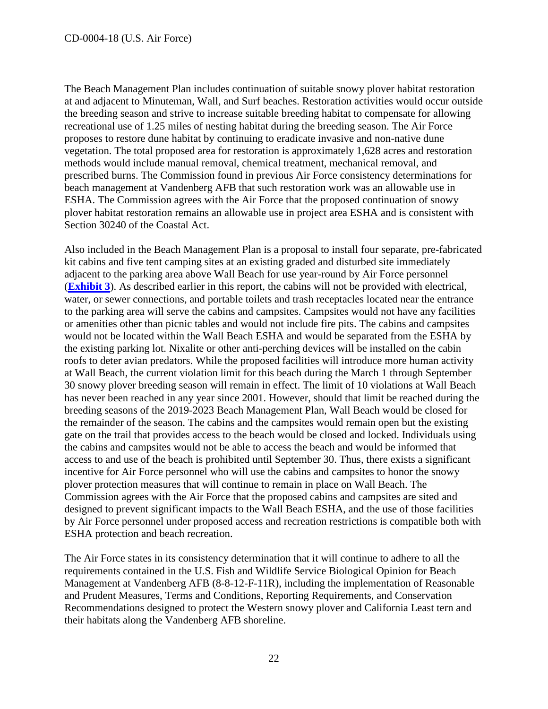The Beach Management Plan includes continuation of suitable snowy plover habitat restoration at and adjacent to Minuteman, Wall, and Surf beaches. Restoration activities would occur outside the breeding season and strive to increase suitable breeding habitat to compensate for allowing recreational use of 1.25 miles of nesting habitat during the breeding season. The Air Force proposes to restore dune habitat by continuing to eradicate invasive and non-native dune vegetation. The total proposed area for restoration is approximately 1,628 acres and restoration methods would include manual removal, chemical treatment, mechanical removal, and prescribed burns. The Commission found in previous Air Force consistency determinations for beach management at Vandenberg AFB that such restoration work was an allowable use in ESHA. The Commission agrees with the Air Force that the proposed continuation of snowy plover habitat restoration remains an allowable use in project area ESHA and is consistent with Section 30240 of the Coastal Act.

Also included in the Beach Management Plan is a proposal to install four separate, pre-fabricated kit cabins and five tent camping sites at an existing graded and disturbed site immediately adjacent to the parking area above Wall Beach for use year-round by Air Force personnel (**[Exhibit 3](https://documents.coastal.ca.gov/reports/2019/12/F14b/F14b-12-2019-exhibits.pdf)**). As described earlier in this report, the cabins will not be provided with electrical, water, or sewer connections, and portable toilets and trash receptacles located near the entrance to the parking area will serve the cabins and campsites. Campsites would not have any facilities or amenities other than picnic tables and would not include fire pits. The cabins and campsites would not be located within the Wall Beach ESHA and would be separated from the ESHA by the existing parking lot. Nixalite or other anti-perching devices will be installed on the cabin roofs to deter avian predators. While the proposed facilities will introduce more human activity at Wall Beach, the current violation limit for this beach during the March 1 through September 30 snowy plover breeding season will remain in effect. The limit of 10 violations at Wall Beach has never been reached in any year since 2001. However, should that limit be reached during the breeding seasons of the 2019-2023 Beach Management Plan, Wall Beach would be closed for the remainder of the season. The cabins and the campsites would remain open but the existing gate on the trail that provides access to the beach would be closed and locked. Individuals using the cabins and campsites would not be able to access the beach and would be informed that access to and use of the beach is prohibited until September 30. Thus, there exists a significant incentive for Air Force personnel who will use the cabins and campsites to honor the snowy plover protection measures that will continue to remain in place on Wall Beach. The Commission agrees with the Air Force that the proposed cabins and campsites are sited and designed to prevent significant impacts to the Wall Beach ESHA, and the use of those facilities by Air Force personnel under proposed access and recreation restrictions is compatible both with ESHA protection and beach recreation.

The Air Force states in its consistency determination that it will continue to adhere to all the requirements contained in the U.S. Fish and Wildlife Service Biological Opinion for Beach Management at Vandenberg AFB (8-8-12-F-11R), including the implementation of Reasonable and Prudent Measures, Terms and Conditions, Reporting Requirements, and Conservation Recommendations designed to protect the Western snowy plover and California Least tern and their habitats along the Vandenberg AFB shoreline.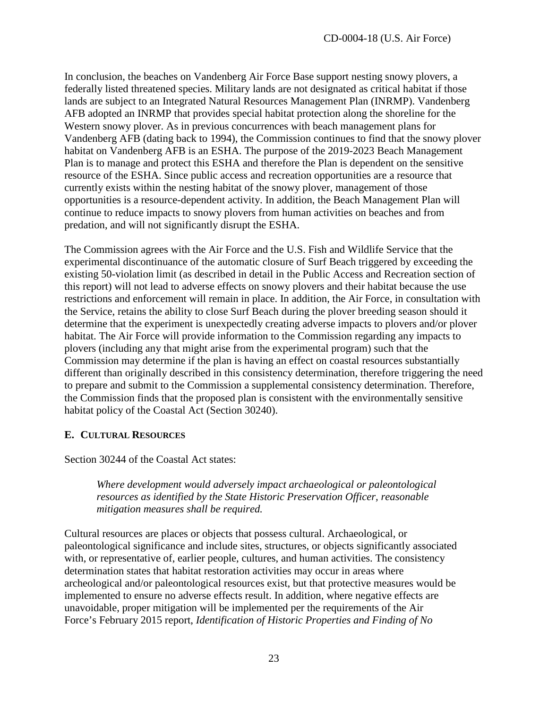In conclusion, the beaches on Vandenberg Air Force Base support nesting snowy plovers, a federally listed threatened species. Military lands are not designated as critical habitat if those lands are subject to an Integrated Natural Resources Management Plan (INRMP). Vandenberg AFB adopted an INRMP that provides special habitat protection along the shoreline for the Western snowy plover. As in previous concurrences with beach management plans for Vandenberg AFB (dating back to 1994), the Commission continues to find that the snowy plover habitat on Vandenberg AFB is an ESHA. The purpose of the 2019-2023 Beach Management Plan is to manage and protect this ESHA and therefore the Plan is dependent on the sensitive resource of the ESHA. Since public access and recreation opportunities are a resource that currently exists within the nesting habitat of the snowy plover, management of those opportunities is a resource-dependent activity. In addition, the Beach Management Plan will continue to reduce impacts to snowy plovers from human activities on beaches and from predation, and will not significantly disrupt the ESHA.

The Commission agrees with the Air Force and the U.S. Fish and Wildlife Service that the experimental discontinuance of the automatic closure of Surf Beach triggered by exceeding the existing 50-violation limit (as described in detail in the Public Access and Recreation section of this report) will not lead to adverse effects on snowy plovers and their habitat because the use restrictions and enforcement will remain in place. In addition, the Air Force, in consultation with the Service, retains the ability to close Surf Beach during the plover breeding season should it determine that the experiment is unexpectedly creating adverse impacts to plovers and/or plover habitat. The Air Force will provide information to the Commission regarding any impacts to plovers (including any that might arise from the experimental program) such that the Commission may determine if the plan is having an effect on coastal resources substantially different than originally described in this consistency determination, therefore triggering the need to prepare and submit to the Commission a supplemental consistency determination. Therefore, the Commission finds that the proposed plan is consistent with the environmentally sensitive habitat policy of the Coastal Act (Section 30240).

## <span id="page-22-0"></span>**E. CULTURAL RESOURCES**

Section 30244 of the Coastal Act states:

*Where development would adversely impact archaeological or paleontological resources as identified by the State Historic Preservation Officer, reasonable mitigation measures shall be required.* 

Cultural resources are places or objects that possess cultural. Archaeological, or paleontological significance and include sites, structures, or objects significantly associated with, or representative of, earlier people, cultures, and human activities. The consistency determination states that habitat restoration activities may occur in areas where archeological and/or paleontological resources exist, but that protective measures would be implemented to ensure no adverse effects result. In addition, where negative effects are unavoidable, proper mitigation will be implemented per the requirements of the Air Force's February 2015 report, *Identification of Historic Properties and Finding of No*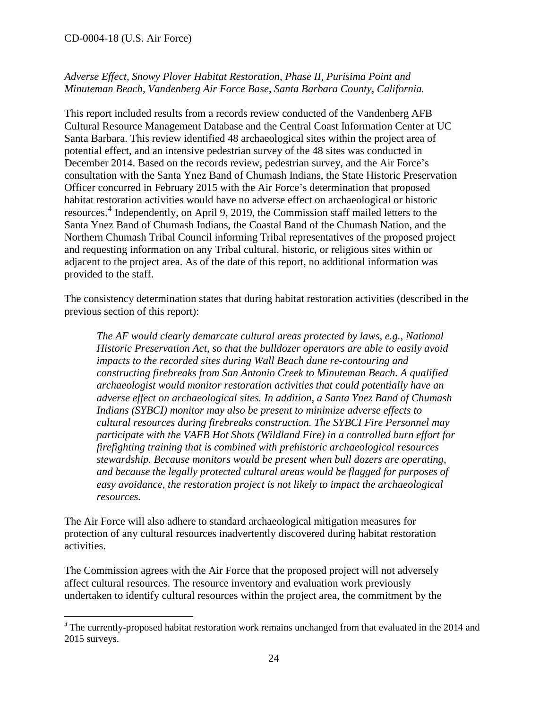$\overline{a}$ 

## *Adverse Effect, Snowy Plover Habitat Restoration, Phase II, Purisima Point and Minuteman Beach, Vandenberg Air Force Base, Santa Barbara County, California.*

This report included results from a records review conducted of the Vandenberg AFB Cultural Resource Management Database and the Central Coast Information Center at UC Santa Barbara. This review identified 48 archaeological sites within the project area of potential effect, and an intensive pedestrian survey of the 48 sites was conducted in December 2014. Based on the records review, pedestrian survey, and the Air Force's consultation with the Santa Ynez Band of Chumash Indians, the State Historic Preservation Officer concurred in February 2015 with the Air Force's determination that proposed habitat restoration activities would have no adverse effect on archaeological or historic resources.<sup>[4](#page-23-0)</sup> Independently, on April 9, 2019, the Commission staff mailed letters to the Santa Ynez Band of Chumash Indians, the Coastal Band of the Chumash Nation, and the Northern Chumash Tribal Council informing Tribal representatives of the proposed project and requesting information on any Tribal cultural, historic, or religious sites within or adjacent to the project area. As of the date of this report, no additional information was provided to the staff.

The consistency determination states that during habitat restoration activities (described in the previous section of this report):

*The AF would clearly demarcate cultural areas protected by laws, e.g., National Historic Preservation Act, so that the bulldozer operators are able to easily avoid impacts to the recorded sites during Wall Beach dune re-contouring and constructing firebreaks from San Antonio Creek to Minuteman Beach. A qualified archaeologist would monitor restoration activities that could potentially have an adverse effect on archaeological sites. In addition, a Santa Ynez Band of Chumash Indians (SYBCI) monitor may also be present to minimize adverse effects to cultural resources during firebreaks construction. The SYBCI Fire Personnel may participate with the VAFB Hot Shots (Wildland Fire) in a controlled burn effort for firefighting training that is combined with prehistoric archaeological resources stewardship. Because monitors would be present when bull dozers are operating, and because the legally protected cultural areas would be flagged for purposes of easy avoidance, the restoration project is not likely to impact the archaeological resources.* 

The Air Force will also adhere to standard archaeological mitigation measures for protection of any cultural resources inadvertently discovered during habitat restoration activities.

The Commission agrees with the Air Force that the proposed project will not adversely affect cultural resources. The resource inventory and evaluation work previously undertaken to identify cultural resources within the project area, the commitment by the

<span id="page-23-0"></span><sup>&</sup>lt;sup>4</sup> The currently-proposed habitat restoration work remains unchanged from that evaluated in the 2014 and 2015 surveys.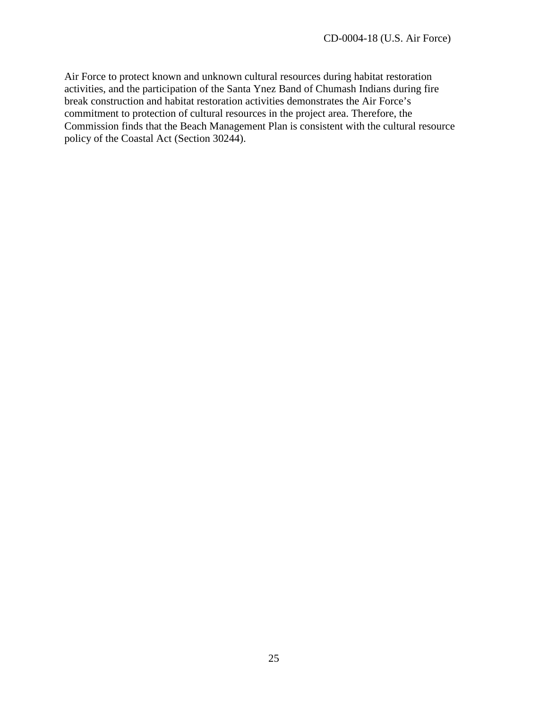Air Force to protect known and unknown cultural resources during habitat restoration activities, and the participation of the Santa Ynez Band of Chumash Indians during fire break construction and habitat restoration activities demonstrates the Air Force's commitment to protection of cultural resources in the project area. Therefore, the Commission finds that the Beach Management Plan is consistent with the cultural resource policy of the Coastal Act (Section 30244).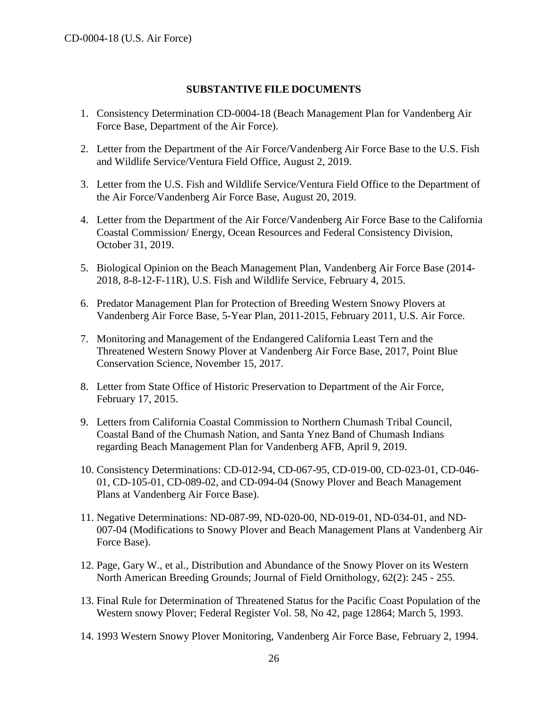#### **SUBSTANTIVE FILE DOCUMENTS**

- <span id="page-25-0"></span>1. Consistency Determination CD-0004-18 (Beach Management Plan for Vandenberg Air Force Base, Department of the Air Force).
- 2. Letter from the Department of the Air Force/Vandenberg Air Force Base to the U.S. Fish and Wildlife Service/Ventura Field Office, August 2, 2019.
- 3. Letter from the U.S. Fish and Wildlife Service/Ventura Field Office to the Department of the Air Force/Vandenberg Air Force Base, August 20, 2019.
- 4. Letter from the Department of the Air Force/Vandenberg Air Force Base to the California Coastal Commission/ Energy, Ocean Resources and Federal Consistency Division, October 31, 2019.
- 5. Biological Opinion on the Beach Management Plan, Vandenberg Air Force Base (2014- 2018, 8-8-12-F-11R), U.S. Fish and Wildlife Service, February 4, 2015.
- 6. Predator Management Plan for Protection of Breeding Western Snowy Plovers at Vandenberg Air Force Base, 5-Year Plan, 2011-2015, February 2011, U.S. Air Force.
- 7. Monitoring and Management of the Endangered California Least Tern and the Threatened Western Snowy Plover at Vandenberg Air Force Base, 2017, Point Blue Conservation Science, November 15, 2017.
- 8. Letter from State Office of Historic Preservation to Department of the Air Force, February 17, 2015.
- 9. Letters from California Coastal Commission to Northern Chumash Tribal Council, Coastal Band of the Chumash Nation, and Santa Ynez Band of Chumash Indians regarding Beach Management Plan for Vandenberg AFB, April 9, 2019.
- 10. Consistency Determinations: CD-012-94, CD-067-95, CD-019-00, CD-023-01, CD-046- 01, CD-105-01, CD-089-02, and CD-094-04 (Snowy Plover and Beach Management Plans at Vandenberg Air Force Base).
- 11. Negative Determinations: ND-087-99, ND-020-00, ND-019-01, ND-034-01, and ND-007-04 (Modifications to Snowy Plover and Beach Management Plans at Vandenberg Air Force Base).
- 12. Page, Gary W., et al., Distribution and Abundance of the Snowy Plover on its Western North American Breeding Grounds; Journal of Field Ornithology, 62(2): 245 - 255.
- 13. Final Rule for Determination of Threatened Status for the Pacific Coast Population of the Western snowy Plover; Federal Register Vol. 58, No 42, page 12864; March 5, 1993.
- 14. 1993 Western Snowy Plover Monitoring, Vandenberg Air Force Base, February 2, 1994.